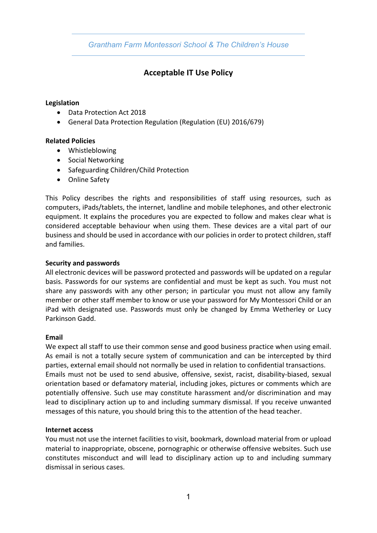*Grantham Farm Montessori School & The Children's House*

# **Acceptable IT Use Policy**

## **Legislation**

- Data Protection Act 2018
- General Data Protection Regulation (Regulation (EU) 2016/679)

# **Related Policies**

- Whistleblowing
- Social Networking
- Safeguarding Children/Child Protection
- Online Safety

This Policy describes the rights and responsibilities of staff using resources, such as computers, iPads/tablets, the internet, landline and mobile telephones, and other electronic equipment. It explains the procedures you are expected to follow and makes clear what is considered acceptable behaviour when using them. These devices are a vital part of our business and should be used in accordance with our policies in order to protect children, staff and families.

## **Security and passwords**

All electronic devices will be password protected and passwords will be updated on a regular basis. Passwords for our systems are confidential and must be kept as such. You must not share any passwords with any other person; in particular you must not allow any family member or other staff member to know or use your password for My Montessori Child or an iPad with designated use. Passwords must only be changed by Emma Wetherley or Lucy Parkinson Gadd.

#### **Email**

We expect all staff to use their common sense and good business practice when using email. As email is not a totally secure system of communication and can be intercepted by third parties, external email should not normally be used in relation to confidential transactions. Emails must not be used to send abusive, offensive, sexist, racist, disability-biased, sexual orientation based or defamatory material, including jokes, pictures or comments which are potentially offensive. Such use may constitute harassment and/or discrimination and may lead to disciplinary action up to and including summary dismissal. If you receive unwanted messages of this nature, you should bring this to the attention of the head teacher.

#### **Internet access**

You must not use the internet facilities to visit, bookmark, download material from or upload material to inappropriate, obscene, pornographic or otherwise offensive websites. Such use constitutes misconduct and will lead to disciplinary action up to and including summary dismissal in serious cases.